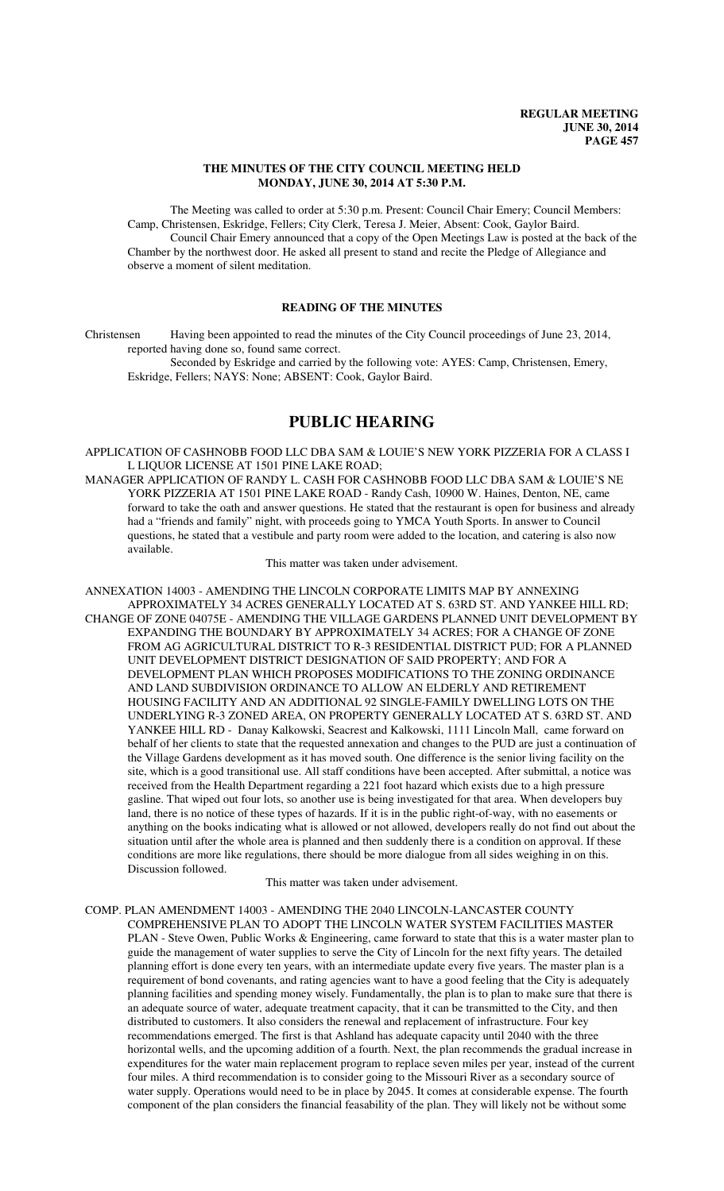### **THE MINUTES OF THE CITY COUNCIL MEETING HELD MONDAY, JUNE 30, 2014 AT 5:30 P.M.**

The Meeting was called to order at 5:30 p.m. Present: Council Chair Emery; Council Members: Camp, Christensen, Eskridge, Fellers; City Clerk, Teresa J. Meier, Absent: Cook, Gaylor Baird. Council Chair Emery announced that a copy of the Open Meetings Law is posted at the back of the Chamber by the northwest door. He asked all present to stand and recite the Pledge of Allegiance and observe a moment of silent meditation.

## **READING OF THE MINUTES**

Christensen Having been appointed to read the minutes of the City Council proceedings of June 23, 2014, reported having done so, found same correct.

Seconded by Eskridge and carried by the following vote: AYES: Camp, Christensen, Emery, Eskridge, Fellers; NAYS: None; ABSENT: Cook, Gaylor Baird.

## **PUBLIC HEARING**

APPLICATION OF CASHNOBB FOOD LLC DBA SAM & LOUIE'S NEW YORK PIZZERIA FOR A CLASS I L LIQUOR LICENSE AT 1501 PINE LAKE ROAD;

MANAGER APPLICATION OF RANDY L. CASH FOR CASHNOBB FOOD LLC DBA SAM & LOUIE'S NE YORK PIZZERIA AT 1501 PINE LAKE ROAD - Randy Cash, 10900 W. Haines, Denton, NE, came forward to take the oath and answer questions. He stated that the restaurant is open for business and already had a "friends and family" night, with proceeds going to YMCA Youth Sports. In answer to Council questions, he stated that a vestibule and party room were added to the location, and catering is also now available.

This matter was taken under advisement.

ANNEXATION 14003 - AMENDING THE LINCOLN CORPORATE LIMITS MAP BY ANNEXING APPROXIMATELY 34 ACRES GENERALLY LOCATED AT S. 63RD ST. AND YANKEE HILL RD; CHANGE OF ZONE 04075E - AMENDING THE VILLAGE GARDENS PLANNED UNIT DEVELOPMENT BY EXPANDING THE BOUNDARY BY APPROXIMATELY 34 ACRES; FOR A CHANGE OF ZONE FROM AG AGRICULTURAL DISTRICT TO R-3 RESIDENTIAL DISTRICT PUD; FOR A PLANNED UNIT DEVELOPMENT DISTRICT DESIGNATION OF SAID PROPERTY; AND FOR A DEVELOPMENT PLAN WHICH PROPOSES MODIFICATIONS TO THE ZONING ORDINANCE AND LAND SUBDIVISION ORDINANCE TO ALLOW AN ELDERLY AND RETIREMENT HOUSING FACILITY AND AN ADDITIONAL 92 SINGLE-FAMILY DWELLING LOTS ON THE UNDERLYING R-3 ZONED AREA, ON PROPERTY GENERALLY LOCATED AT S. 63RD ST. AND YANKEE HILL RD - Danay Kalkowski, Seacrest and Kalkowski, 1111 Lincoln Mall, came forward on behalf of her clients to state that the requested annexation and changes to the PUD are just a continuation of the Village Gardens development as it has moved south. One difference is the senior living facility on the site, which is a good transitional use. All staff conditions have been accepted. After submittal, a notice was received from the Health Department regarding a 221 foot hazard which exists due to a high pressure gasline. That wiped out four lots, so another use is being investigated for that area. When developers buy land, there is no notice of these types of hazards. If it is in the public right-of-way, with no easements or anything on the books indicating what is allowed or not allowed, developers really do not find out about the situation until after the whole area is planned and then suddenly there is a condition on approval. If these conditions are more like regulations, there should be more dialogue from all sides weighing in on this. Discussion followed.

This matter was taken under advisement.

COMP. PLAN AMENDMENT 14003 - AMENDING THE 2040 LINCOLN-LANCASTER COUNTY COMPREHENSIVE PLAN TO ADOPT THE LINCOLN WATER SYSTEM FACILITIES MASTER PLAN - Steve Owen, Public Works & Engineering, came forward to state that this is a water master plan to guide the management of water supplies to serve the City of Lincoln for the next fifty years. The detailed planning effort is done every ten years, with an intermediate update every five years. The master plan is a requirement of bond covenants, and rating agencies want to have a good feeling that the City is adequately planning facilities and spending money wisely. Fundamentally, the plan is to plan to make sure that there is an adequate source of water, adequate treatment capacity, that it can be transmitted to the City, and then distributed to customers. It also considers the renewal and replacement of infrastructure. Four key recommendations emerged. The first is that Ashland has adequate capacity until 2040 with the three horizontal wells, and the upcoming addition of a fourth. Next, the plan recommends the gradual increase in expenditures for the water main replacement program to replace seven miles per year, instead of the current four miles. A third recommendation is to consider going to the Missouri River as a secondary source of water supply. Operations would need to be in place by 2045. It comes at considerable expense. The fourth component of the plan considers the financial feasability of the plan. They will likely not be without some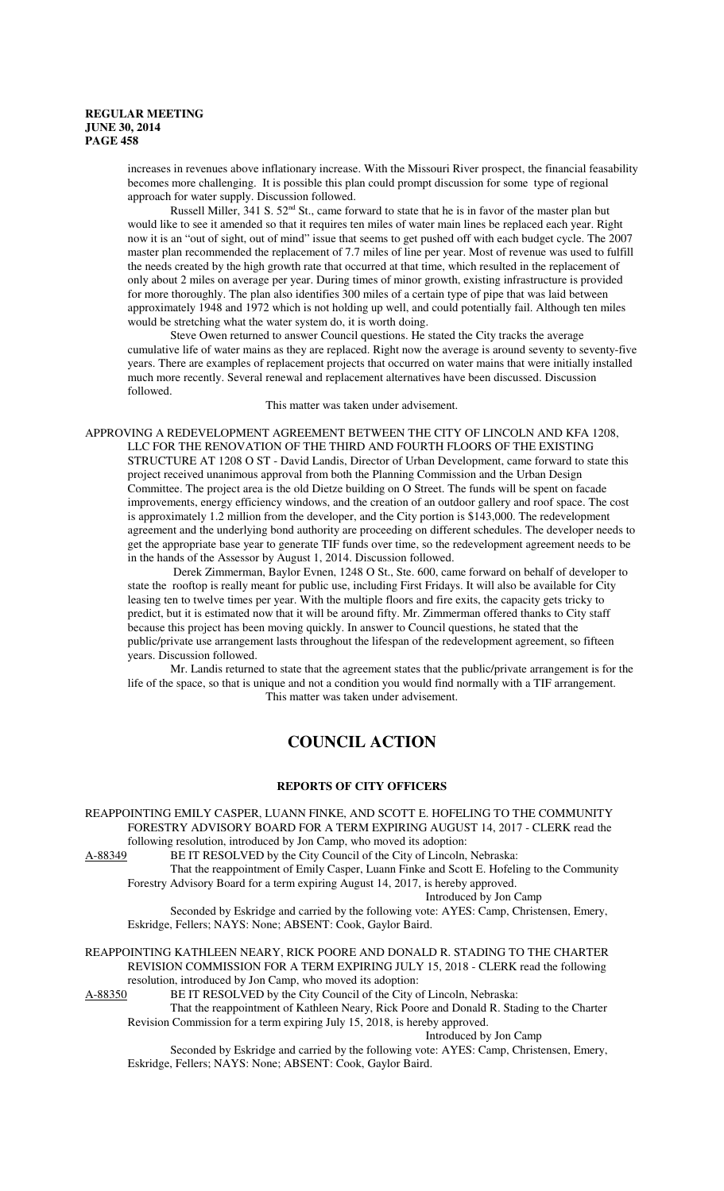increases in revenues above inflationary increase. With the Missouri River prospect, the financial feasability becomes more challenging. It is possible this plan could prompt discussion for some type of regional approach for water supply. Discussion followed.

Russell Miller, 341 S. 52<sup>nd</sup> St., came forward to state that he is in favor of the master plan but would like to see it amended so that it requires ten miles of water main lines be replaced each year. Right now it is an "out of sight, out of mind" issue that seems to get pushed off with each budget cycle. The 2007 master plan recommended the replacement of 7.7 miles of line per year. Most of revenue was used to fulfill the needs created by the high growth rate that occurred at that time, which resulted in the replacement of only about 2 miles on average per year. During times of minor growth, existing infrastructure is provided for more thoroughly. The plan also identifies 300 miles of a certain type of pipe that was laid between approximately 1948 and 1972 which is not holding up well, and could potentially fail. Although ten miles would be stretching what the water system do, it is worth doing.

Steve Owen returned to answer Council questions. He stated the City tracks the average cumulative life of water mains as they are replaced. Right now the average is around seventy to seventy-five years. There are examples of replacement projects that occurred on water mains that were initially installed much more recently. Several renewal and replacement alternatives have been discussed. Discussion followed.

This matter was taken under advisement.

APPROVING A REDEVELOPMENT AGREEMENT BETWEEN THE CITY OF LINCOLN AND KFA 1208, LLC FOR THE RENOVATION OF THE THIRD AND FOURTH FLOORS OF THE EXISTING STRUCTURE AT 1208 O ST - David Landis, Director of Urban Development, came forward to state this project received unanimous approval from both the Planning Commission and the Urban Design Committee. The project area is the old Dietze building on O Street. The funds will be spent on facade improvements, energy efficiency windows, and the creation of an outdoor gallery and roof space. The cost is approximately 1.2 million from the developer, and the City portion is \$143,000. The redevelopment agreement and the underlying bond authority are proceeding on different schedules. The developer needs to get the appropriate base year to generate TIF funds over time, so the redevelopment agreement needs to be in the hands of the Assessor by August 1, 2014. Discussion followed.

 Derek Zimmerman, Baylor Evnen, 1248 O St., Ste. 600, came forward on behalf of developer to state the rooftop is really meant for public use, including First Fridays. It will also be available for City leasing ten to twelve times per year. With the multiple floors and fire exits, the capacity gets tricky to predict, but it is estimated now that it will be around fifty. Mr. Zimmerman offered thanks to City staff because this project has been moving quickly. In answer to Council questions, he stated that the public/private use arrangement lasts throughout the lifespan of the redevelopment agreement, so fifteen years. Discussion followed.

Mr. Landis returned to state that the agreement states that the public/private arrangement is for the life of the space, so that is unique and not a condition you would find normally with a TIF arrangement. This matter was taken under advisement.

# **COUNCIL ACTION**

## **REPORTS OF CITY OFFICERS**

REAPPOINTING EMILY CASPER, LUANN FINKE, AND SCOTT E. HOFELING TO THE COMMUNITY FORESTRY ADVISORY BOARD FOR A TERM EXPIRING AUGUST 14, 2017 - CLERK read the following resolution, introduced by Jon Camp, who moved its adoption:

A-88349 BE IT RESOLVED by the City Council of the City of Lincoln, Nebraska: That the reappointment of Emily Casper, Luann Finke and Scott E. Hofeling to the Community

Forestry Advisory Board for a term expiring August 14, 2017, is hereby approved.

Introduced by Jon Camp

Seconded by Eskridge and carried by the following vote: AYES: Camp, Christensen, Emery, Eskridge, Fellers; NAYS: None; ABSENT: Cook, Gaylor Baird.

REAPPOINTING KATHLEEN NEARY, RICK POORE AND DONALD R. STADING TO THE CHARTER REVISION COMMISSION FOR A TERM EXPIRING JULY 15, 2018 - CLERK read the following resolution, introduced by Jon Camp, who moved its adoption:<br>A-88350 BE IT RESOLVED by the City Council of the City of

BE IT RESOLVED by the City Council of the City of Lincoln, Nebraska:

That the reappointment of Kathleen Neary, Rick Poore and Donald R. Stading to the Charter Revision Commission for a term expiring July 15, 2018, is hereby approved.

Introduced by Jon Camp

Seconded by Eskridge and carried by the following vote: AYES: Camp, Christensen, Emery, Eskridge, Fellers; NAYS: None; ABSENT: Cook, Gaylor Baird.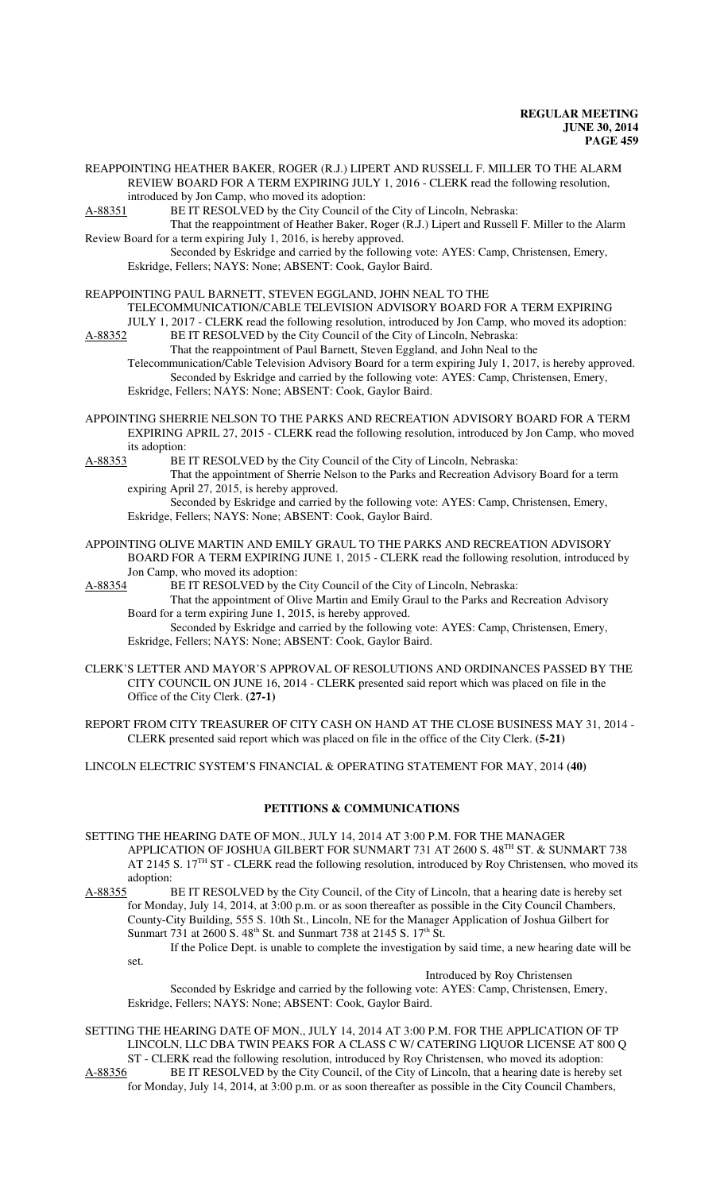REAPPOINTING HEATHER BAKER, ROGER (R.J.) LIPERT AND RUSSELL F. MILLER TO THE ALARM REVIEW BOARD FOR A TERM EXPIRING JULY 1, 2016 - CLERK read the following resolution, introduced by Jon Camp, who moved its adoption:

A-88351 BE IT RESOLVED by the City Council of the City of Lincoln, Nebraska:

That the reappointment of Heather Baker, Roger (R.J.) Lipert and Russell F. Miller to the Alarm Review Board for a term expiring July 1, 2016, is hereby approved.

Seconded by Eskridge and carried by the following vote: AYES: Camp, Christensen, Emery, Eskridge, Fellers; NAYS: None; ABSENT: Cook, Gaylor Baird.

## REAPPOINTING PAUL BARNETT, STEVEN EGGLAND, JOHN NEAL TO THE

TELECOMMUNICATION/CABLE TELEVISION ADVISORY BOARD FOR A TERM EXPIRING

JULY 1, 2017 - CLERK read the following resolution, introduced by Jon Camp, who moved its adoption:<br>A-88352 BE IT RESOLVED by the City Council of the City of Lincoln, Nebraska: BE IT RESOLVED by the City Council of the City of Lincoln, Nebraska:

That the reappointment of Paul Barnett, Steven Eggland, and John Neal to the

Telecommunication/Cable Television Advisory Board for a term expiring July 1, 2017, is hereby approved. Seconded by Eskridge and carried by the following vote: AYES: Camp, Christensen, Emery, Eskridge, Fellers; NAYS: None; ABSENT: Cook, Gaylor Baird.

APPOINTING SHERRIE NELSON TO THE PARKS AND RECREATION ADVISORY BOARD FOR A TERM EXPIRING APRIL 27, 2015 - CLERK read the following resolution, introduced by Jon Camp, who moved its adoption:<br>A-88353 BE

BE IT RESOLVED by the City Council of the City of Lincoln, Nebraska:

That the appointment of Sherrie Nelson to the Parks and Recreation Advisory Board for a term expiring April 27, 2015, is hereby approved.

Seconded by Eskridge and carried by the following vote: AYES: Camp, Christensen, Emery, Eskridge, Fellers; NAYS: None; ABSENT: Cook, Gaylor Baird.

APPOINTING OLIVE MARTIN AND EMILY GRAUL TO THE PARKS AND RECREATION ADVISORY BOARD FOR A TERM EXPIRING JUNE 1, 2015 - CLERK read the following resolution, introduced by Jon Camp, who moved its adoption:

A-88354 BE IT RESOLVED by the City Council of the City of Lincoln, Nebraska:

That the appointment of Olive Martin and Emily Graul to the Parks and Recreation Advisory Board for a term expiring June 1, 2015, is hereby approved.

Seconded by Eskridge and carried by the following vote: AYES: Camp, Christensen, Emery, Eskridge, Fellers; NAYS: None; ABSENT: Cook, Gaylor Baird.

CLERK'S LETTER AND MAYOR'S APPROVAL OF RESOLUTIONS AND ORDINANCES PASSED BY THE CITY COUNCIL ON JUNE 16, 2014 - CLERK presented said report which was placed on file in the Office of the City Clerk. **(27-1)**

REPORT FROM CITY TREASURER OF CITY CASH ON HAND AT THE CLOSE BUSINESS MAY 31, 2014 - CLERK presented said report which was placed on file in the office of the City Clerk. **(5-21)**

LINCOLN ELECTRIC SYSTEM'S FINANCIAL & OPERATING STATEMENT FOR MAY, 2014 **(40)**

## **PETITIONS & COMMUNICATIONS**

SETTING THE HEARING DATE OF MON., JULY 14, 2014 AT 3:00 P.M. FOR THE MANAGER APPLICATION OF JOSHUA GILBERT FOR SUNMART 731 AT 2600 S. 48TH ST. & SUNMART 738 AT 2145 S. 17<sup>TH</sup> ST - CLERK read the following resolution, introduced by Roy Christensen, who moved its

adoption:<br>A-88355 I BE IT RESOLVED by the City Council, of the City of Lincoln, that a hearing date is hereby set for Monday, July 14, 2014, at 3:00 p.m. or as soon thereafter as possible in the City Council Chambers, County-City Building, 555 S. 10th St., Lincoln, NE for the Manager Application of Joshua Gilbert for Sunmart 731 at 2600 S.  $48<sup>th</sup>$  St. and Sunmart 738 at 2145 S. 17<sup>th</sup> St.

If the Police Dept. is unable to complete the investigation by said time, a new hearing date will be set.

Introduced by Roy Christensen

Seconded by Eskridge and carried by the following vote: AYES: Camp, Christensen, Emery, Eskridge, Fellers; NAYS: None; ABSENT: Cook, Gaylor Baird.

SETTING THE HEARING DATE OF MON., JULY 14, 2014 AT 3:00 P.M. FOR THE APPLICATION OF TP LINCOLN, LLC DBA TWIN PEAKS FOR A CLASS C W/ CATERING LIQUOR LICENSE AT 800 Q ST - CLERK read the following resolution, introduced by Roy Christensen, who moved its adoption: A-88356 BE IT RESOLVED by the City Council, of the City of Lincoln, that a hearing date is hereby set

for Monday, July 14, 2014, at 3:00 p.m. or as soon thereafter as possible in the City Council Chambers,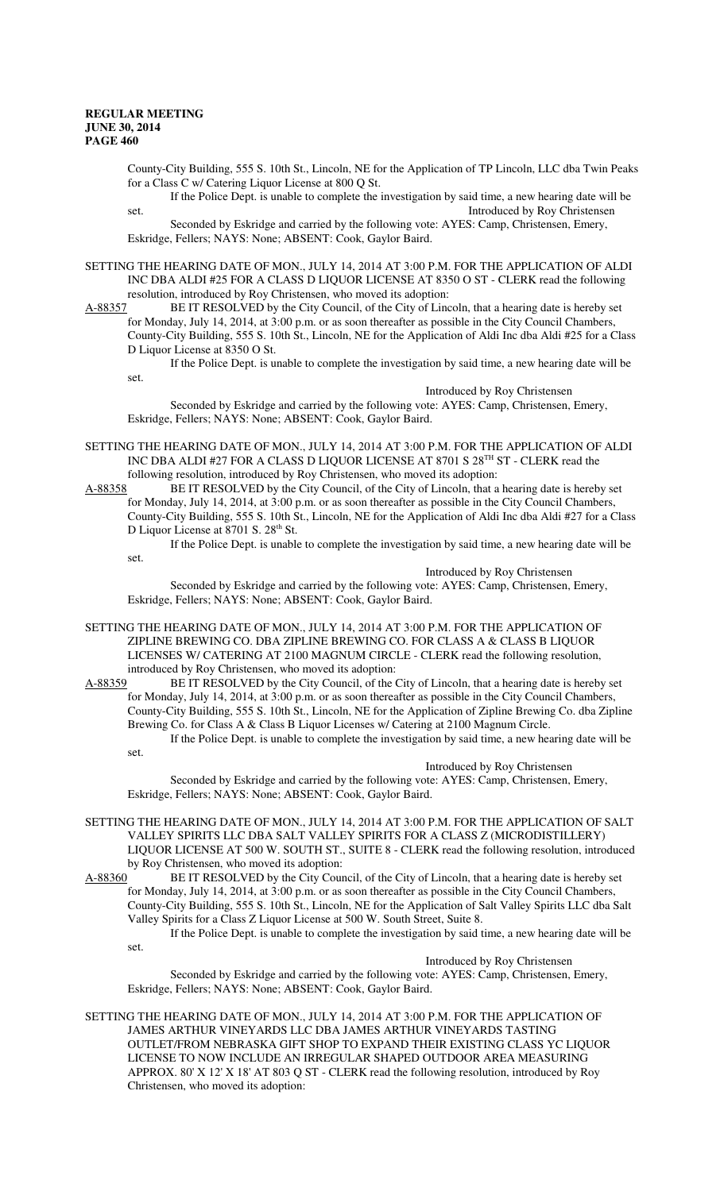County-City Building, 555 S. 10th St., Lincoln, NE for the Application of TP Lincoln, LLC dba Twin Peaks for a Class C w/ Catering Liquor License at 800 Q St. If the Police Dept. is unable to complete the investigation by said time, a new hearing date will be

set. Introduced by Roy Christensen Seconded by Eskridge and carried by the following vote: AYES: Camp, Christensen, Emery, Eskridge, Fellers; NAYS: None; ABSENT: Cook, Gaylor Baird.

SETTING THE HEARING DATE OF MON., JULY 14, 2014 AT 3:00 P.M. FOR THE APPLICATION OF ALDI INC DBA ALDI #25 FOR A CLASS D LIQUOR LICENSE AT 8350 O ST - CLERK read the following resolution, introduced by Roy Christensen, who moved its adoption:<br>A-88357 BE IT RESOLVED by the City Council, of the City of Linc

BE IT RESOLVED by the City Council, of the City of Lincoln, that a hearing date is hereby set for Monday, July 14, 2014, at 3:00 p.m. or as soon thereafter as possible in the City Council Chambers, County-City Building, 555 S. 10th St., Lincoln, NE for the Application of Aldi Inc dba Aldi #25 for a Class D Liquor License at 8350 O St.

If the Police Dept. is unable to complete the investigation by said time, a new hearing date will be set.

Introduced by Roy Christensen

Seconded by Eskridge and carried by the following vote: AYES: Camp, Christensen, Emery, Eskridge, Fellers; NAYS: None; ABSENT: Cook, Gaylor Baird.

SETTING THE HEARING DATE OF MON., JULY 14, 2014 AT 3:00 P.M. FOR THE APPLICATION OF ALDI INC DBA ALDI #27 FOR A CLASS D LIQUOR LICENSE AT 8701 S 28TH ST - CLERK read the following resolution, introduced by Roy Christensen, who moved its adoption:

A-88358 BE IT RESOLVED by the City Council, of the City of Lincoln, that a hearing date is hereby set for Monday, July 14, 2014, at 3:00 p.m. or as soon thereafter as possible in the City Council Chambers, County-City Building, 555 S. 10th St., Lincoln, NE for the Application of Aldi Inc dba Aldi #27 for a Class D Liquor License at 8701 S. 28<sup>th</sup> St.

If the Police Dept. is unable to complete the investigation by said time, a new hearing date will be set. Introduced by Roy Christensen

Seconded by Eskridge and carried by the following vote: AYES: Camp, Christensen, Emery, Eskridge, Fellers; NAYS: None; ABSENT: Cook, Gaylor Baird.

SETTING THE HEARING DATE OF MON., JULY 14, 2014 AT 3:00 P.M. FOR THE APPLICATION OF ZIPLINE BREWING CO. DBA ZIPLINE BREWING CO. FOR CLASS A & CLASS B LIQUOR LICENSES W/ CATERING AT 2100 MAGNUM CIRCLE - CLERK read the following resolution,

introduced by Roy Christensen, who moved its adoption:<br>A-88359 BE IT RESOLVED by the City Council, of the C BE IT RESOLVED by the City Council, of the City of Lincoln, that a hearing date is hereby set for Monday, July 14, 2014, at 3:00 p.m. or as soon thereafter as possible in the City Council Chambers, County-City Building, 555 S. 10th St., Lincoln, NE for the Application of Zipline Brewing Co. dba Zipline Brewing Co. for Class A & Class B Liquor Licenses w/ Catering at 2100 Magnum Circle. If the Police Dept. is unable to complete the investigation by said time, a new hearing date will be set.

Introduced by Roy Christensen

Seconded by Eskridge and carried by the following vote: AYES: Camp, Christensen, Emery, Eskridge, Fellers; NAYS: None; ABSENT: Cook, Gaylor Baird.

SETTING THE HEARING DATE OF MON., JULY 14, 2014 AT 3:00 P.M. FOR THE APPLICATION OF SALT VALLEY SPIRITS LLC DBA SALT VALLEY SPIRITS FOR A CLASS Z (MICRODISTILLERY) LIQUOR LICENSE AT 500 W. SOUTH ST., SUITE 8 - CLERK read the following resolution, introduced by Roy Christensen, who moved its adoption:

A-88360 BE IT RESOLVED by the City Council, of the City of Lincoln, that a hearing date is hereby set for Monday, July 14, 2014, at 3:00 p.m. or as soon thereafter as possible in the City Council Chambers, County-City Building, 555 S. 10th St., Lincoln, NE for the Application of Salt Valley Spirits LLC dba Salt Valley Spirits for a Class Z Liquor License at 500 W. South Street, Suite 8. If the Police Dept. is unable to complete the investigation by said time, a new hearing date will be

set.

Introduced by Roy Christensen Seconded by Eskridge and carried by the following vote: AYES: Camp, Christensen, Emery, Eskridge, Fellers; NAYS: None; ABSENT: Cook, Gaylor Baird.

SETTING THE HEARING DATE OF MON., JULY 14, 2014 AT 3:00 P.M. FOR THE APPLICATION OF JAMES ARTHUR VINEYARDS LLC DBA JAMES ARTHUR VINEYARDS TASTING OUTLET/FROM NEBRASKA GIFT SHOP TO EXPAND THEIR EXISTING CLASS YC LIQUOR LICENSE TO NOW INCLUDE AN IRREGULAR SHAPED OUTDOOR AREA MEASURING APPROX. 80' X 12' X 18' AT 803 Q ST - CLERK read the following resolution, introduced by Roy Christensen, who moved its adoption: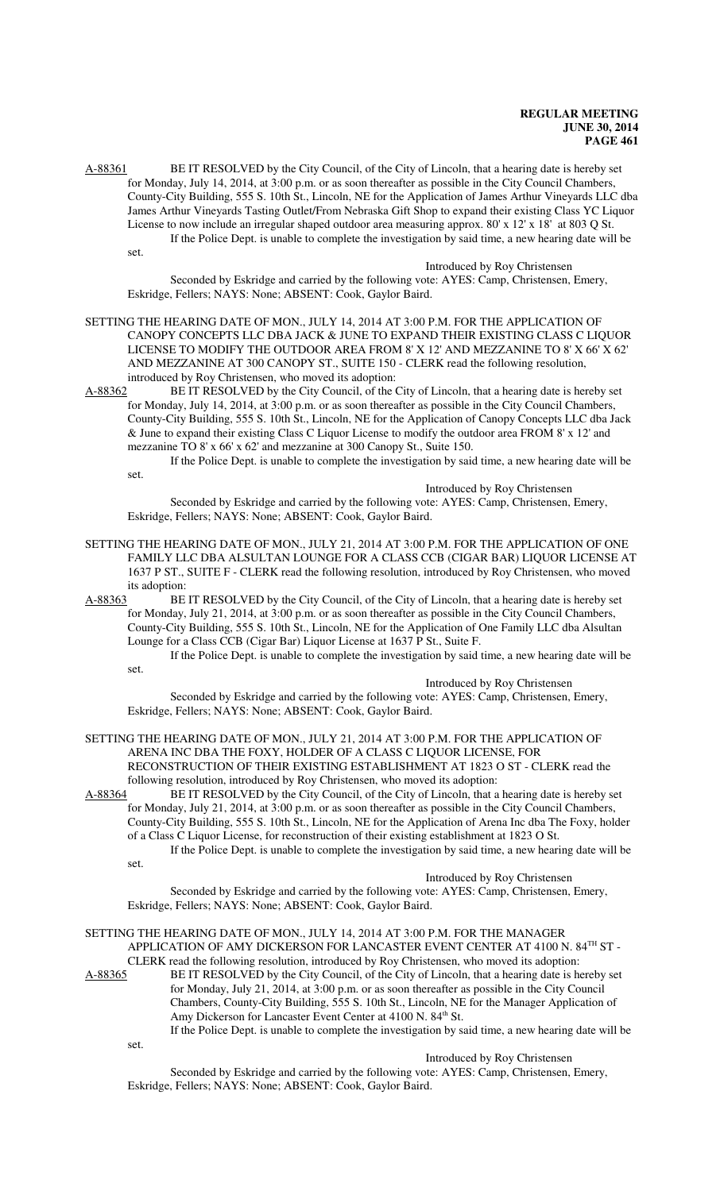A-88361 BE IT RESOLVED by the City Council, of the City of Lincoln, that a hearing date is hereby set for Monday, July 14, 2014, at 3:00 p.m. or as soon thereafter as possible in the City Council Chambers, County-City Building, 555 S. 10th St., Lincoln, NE for the Application of James Arthur Vineyards LLC dba James Arthur Vineyards Tasting Outlet/From Nebraska Gift Shop to expand their existing Class YC Liquor License to now include an irregular shaped outdoor area measuring approx. 80' x 12' x 18' at 803 Q St. If the Police Dept. is unable to complete the investigation by said time, a new hearing date will be set.

Introduced by Roy Christensen Seconded by Eskridge and carried by the following vote: AYES: Camp, Christensen, Emery, Eskridge, Fellers; NAYS: None; ABSENT: Cook, Gaylor Baird.

SETTING THE HEARING DATE OF MON., JULY 14, 2014 AT 3:00 P.M. FOR THE APPLICATION OF CANOPY CONCEPTS LLC DBA JACK & JUNE TO EXPAND THEIR EXISTING CLASS C LIQUOR LICENSE TO MODIFY THE OUTDOOR AREA FROM 8' X 12' AND MEZZANINE TO 8' X 66' X 62' AND MEZZANINE AT 300 CANOPY ST., SUITE 150 - CLERK read the following resolution, introduced by Roy Christensen, who moved its adoption:

A-88362 BE IT RESOLVED by the City Council, of the City of Lincoln, that a hearing date is hereby set for Monday, July 14, 2014, at 3:00 p.m. or as soon thereafter as possible in the City Council Chambers, County-City Building, 555 S. 10th St., Lincoln, NE for the Application of Canopy Concepts LLC dba Jack & June to expand their existing Class C Liquor License to modify the outdoor area FROM 8' x 12' and mezzanine TO 8' x 66' x 62' and mezzanine at 300 Canopy St., Suite 150.

If the Police Dept. is unable to complete the investigation by said time, a new hearing date will be

set.

## Introduced by Roy Christensen

Seconded by Eskridge and carried by the following vote: AYES: Camp, Christensen, Emery, Eskridge, Fellers; NAYS: None; ABSENT: Cook, Gaylor Baird.

- SETTING THE HEARING DATE OF MON., JULY 21, 2014 AT 3:00 P.M. FOR THE APPLICATION OF ONE FAMILY LLC DBA ALSULTAN LOUNGE FOR A CLASS CCB (CIGAR BAR) LIQUOR LICENSE AT 1637 P ST., SUITE F - CLERK read the following resolution, introduced by Roy Christensen, who moved its adoption:<br>A-88363 BE
- BE IT RESOLVED by the City Council, of the City of Lincoln, that a hearing date is hereby set for Monday, July 21, 2014, at 3:00 p.m. or as soon thereafter as possible in the City Council Chambers, County-City Building, 555 S. 10th St., Lincoln, NE for the Application of One Family LLC dba Alsultan Lounge for a Class CCB (Cigar Bar) Liquor License at 1637 P St., Suite F.

If the Police Dept. is unable to complete the investigation by said time, a new hearing date will be set.

## Introduced by Roy Christensen

Seconded by Eskridge and carried by the following vote: AYES: Camp, Christensen, Emery, Eskridge, Fellers; NAYS: None; ABSENT: Cook, Gaylor Baird.

SETTING THE HEARING DATE OF MON., JULY 21, 2014 AT 3:00 P.M. FOR THE APPLICATION OF ARENA INC DBA THE FOXY, HOLDER OF A CLASS C LIQUOR LICENSE, FOR RECONSTRUCTION OF THEIR EXISTING ESTABLISHMENT AT 1823 O ST - CLERK read the following resolution, introduced by Roy Christensen, who moved its adoption:

A-88364 BE IT RESOLVED by the City Council, of the City of Lincoln, that a hearing date is hereby set for Monday, July 21, 2014, at 3:00 p.m. or as soon thereafter as possible in the City Council Chambers, County-City Building, 555 S. 10th St., Lincoln, NE for the Application of Arena Inc dba The Foxy, holder of a Class C Liquor License, for reconstruction of their existing establishment at 1823 O St. If the Police Dept. is unable to complete the investigation by said time, a new hearing date will be

set.

set.

Introduced by Roy Christensen

Seconded by Eskridge and carried by the following vote: AYES: Camp, Christensen, Emery, Eskridge, Fellers; NAYS: None; ABSENT: Cook, Gaylor Baird.

SETTING THE HEARING DATE OF MON., JULY 14, 2014 AT 3:00 P.M. FOR THE MANAGER APPLICATION OF AMY DICKERSON FOR LANCASTER EVENT CENTER AT 4100 N. 84TH ST -CLERK read the following resolution, introduced by Roy Christensen, who moved its adoption: A-88365 BE IT RESOLVED by the City Council, of the City of Lincoln, that a hearing date is hereby set

for Monday, July 21, 2014, at 3:00 p.m. or as soon thereafter as possible in the City Council Chambers, County-City Building, 555 S. 10th St., Lincoln, NE for the Manager Application of Amy Dickerson for Lancaster Event Center at 4100 N. 84<sup>th</sup> St.

If the Police Dept. is unable to complete the investigation by said time, a new hearing date will be

#### Introduced by Roy Christensen

Seconded by Eskridge and carried by the following vote: AYES: Camp, Christensen, Emery, Eskridge, Fellers; NAYS: None; ABSENT: Cook, Gaylor Baird.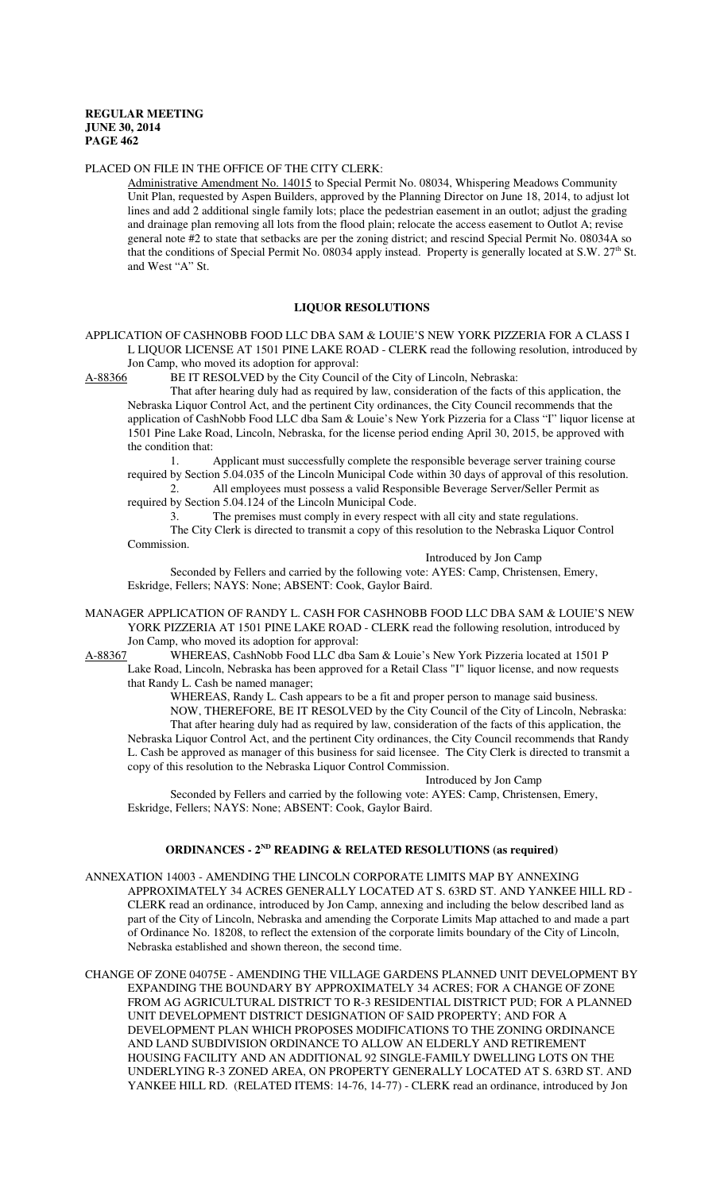## PLACED ON FILE IN THE OFFICE OF THE CITY CLERK:

Administrative Amendment No. 14015 to Special Permit No. 08034, Whispering Meadows Community Unit Plan, requested by Aspen Builders, approved by the Planning Director on June 18, 2014, to adjust lot lines and add 2 additional single family lots; place the pedestrian easement in an outlot; adjust the grading and drainage plan removing all lots from the flood plain; relocate the access easement to Outlot A; revise general note #2 to state that setbacks are per the zoning district; and rescind Special Permit No. 08034A so that the conditions of Special Permit No. 08034 apply instead. Property is generally located at S.W. 27<sup>th</sup> St. and West "A" St.

## **LIQUOR RESOLUTIONS**

APPLICATION OF CASHNOBB FOOD LLC DBA SAM & LOUIE'S NEW YORK PIZZERIA FOR A CLASS I L LIQUOR LICENSE AT 1501 PINE LAKE ROAD - CLERK read the following resolution, introduced by Jon Camp, who moved its adoption for approval:<br>A-88366 BE IT RESOLVED by the City Council

BE IT RESOLVED by the City Council of the City of Lincoln, Nebraska:

That after hearing duly had as required by law, consideration of the facts of this application, the Nebraska Liquor Control Act, and the pertinent City ordinances, the City Council recommends that the application of CashNobb Food LLC dba Sam & Louie's New York Pizzeria for a Class "I" liquor license at 1501 Pine Lake Road, Lincoln, Nebraska, for the license period ending April 30, 2015, be approved with the condition that:

1. Applicant must successfully complete the responsible beverage server training course required by Section 5.04.035 of the Lincoln Municipal Code within 30 days of approval of this resolution.

2. All employees must possess a valid Responsible Beverage Server/Seller Permit as required by Section 5.04.124 of the Lincoln Municipal Code.

3. The premises must comply in every respect with all city and state regulations. The City Clerk is directed to transmit a copy of this resolution to the Nebraska Liquor Control

Commission.

Introduced by Jon Camp

Seconded by Fellers and carried by the following vote: AYES: Camp, Christensen, Emery, Eskridge, Fellers; NAYS: None; ABSENT: Cook, Gaylor Baird.

MANAGER APPLICATION OF RANDY L. CASH FOR CASHNOBB FOOD LLC DBA SAM & LOUIE'S NEW YORK PIZZERIA AT 1501 PINE LAKE ROAD - CLERK read the following resolution, introduced by Jon Camp, who moved its adoption for approval:

A-88367 WHEREAS, CashNobb Food LLC dba Sam & Louie's New York Pizzeria located at 1501 P Lake Road, Lincoln, Nebraska has been approved for a Retail Class "I" liquor license, and now requests that Randy L. Cash be named manager;

WHEREAS, Randy L. Cash appears to be a fit and proper person to manage said business. NOW, THEREFORE, BE IT RESOLVED by the City Council of the City of Lincoln, Nebraska: That after hearing duly had as required by law, consideration of the facts of this application, the Nebraska Liquor Control Act, and the pertinent City ordinances, the City Council recommends that Randy L. Cash be approved as manager of this business for said licensee. The City Clerk is directed to transmit a copy of this resolution to the Nebraska Liquor Control Commission.

Introduced by Jon Camp

Seconded by Fellers and carried by the following vote: AYES: Camp, Christensen, Emery, Eskridge, Fellers; NAYS: None; ABSENT: Cook, Gaylor Baird.

#### **ORDINANCES - 2ND READING & RELATED RESOLUTIONS (as required)**

ANNEXATION 14003 - AMENDING THE LINCOLN CORPORATE LIMITS MAP BY ANNEXING APPROXIMATELY 34 ACRES GENERALLY LOCATED AT S. 63RD ST. AND YANKEE HILL RD - CLERK read an ordinance, introduced by Jon Camp, annexing and including the below described land as part of the City of Lincoln, Nebraska and amending the Corporate Limits Map attached to and made a part of Ordinance No. 18208, to reflect the extension of the corporate limits boundary of the City of Lincoln, Nebraska established and shown thereon, the second time.

CHANGE OF ZONE 04075E - AMENDING THE VILLAGE GARDENS PLANNED UNIT DEVELOPMENT BY EXPANDING THE BOUNDARY BY APPROXIMATELY 34 ACRES; FOR A CHANGE OF ZONE FROM AG AGRICULTURAL DISTRICT TO R-3 RESIDENTIAL DISTRICT PUD; FOR A PLANNED UNIT DEVELOPMENT DISTRICT DESIGNATION OF SAID PROPERTY; AND FOR A DEVELOPMENT PLAN WHICH PROPOSES MODIFICATIONS TO THE ZONING ORDINANCE AND LAND SUBDIVISION ORDINANCE TO ALLOW AN ELDERLY AND RETIREMENT HOUSING FACILITY AND AN ADDITIONAL 92 SINGLE-FAMILY DWELLING LOTS ON THE UNDERLYING R-3 ZONED AREA, ON PROPERTY GENERALLY LOCATED AT S. 63RD ST. AND YANKEE HILL RD. (RELATED ITEMS: 14-76, 14-77) - CLERK read an ordinance, introduced by Jon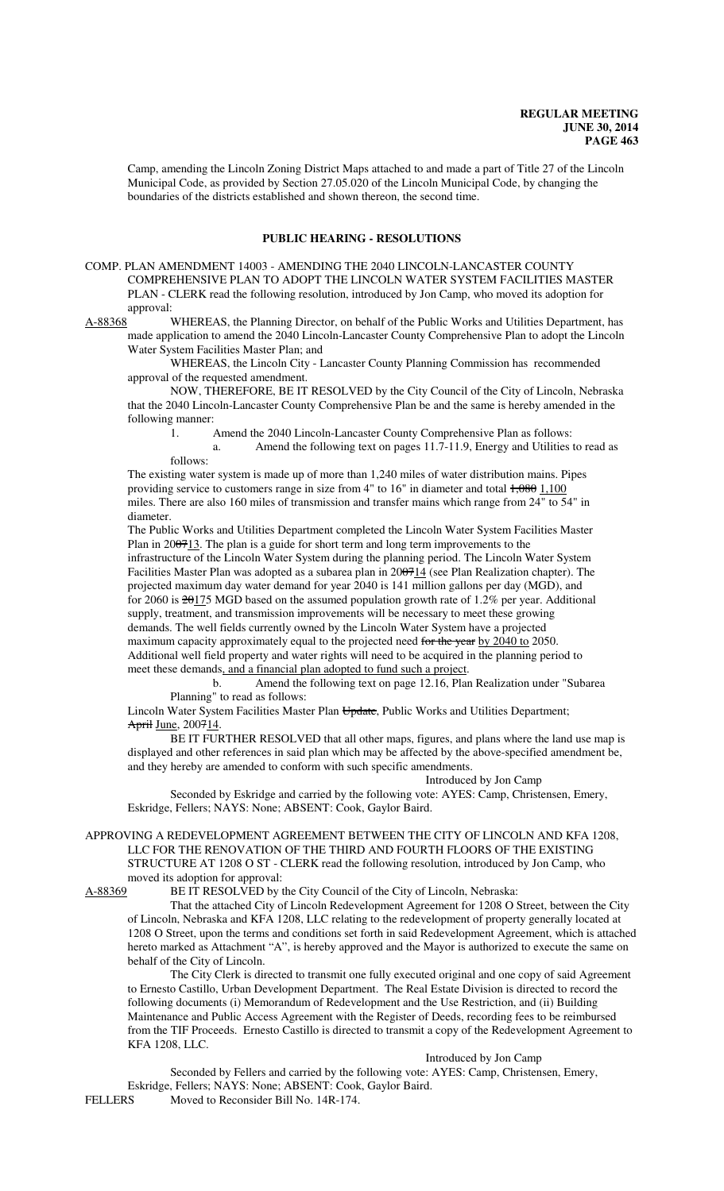Camp, amending the Lincoln Zoning District Maps attached to and made a part of Title 27 of the Lincoln Municipal Code, as provided by Section 27.05.020 of the Lincoln Municipal Code, by changing the boundaries of the districts established and shown thereon, the second time.

### **PUBLIC HEARING - RESOLUTIONS**

COMP. PLAN AMENDMENT 14003 - AMENDING THE 2040 LINCOLN-LANCASTER COUNTY COMPREHENSIVE PLAN TO ADOPT THE LINCOLN WATER SYSTEM FACILITIES MASTER PLAN - CLERK read the following resolution, introduced by Jon Camp, who moved its adoption for approval:

A-88368 WHEREAS, the Planning Director, on behalf of the Public Works and Utilities Department, has made application to amend the 2040 Lincoln-Lancaster County Comprehensive Plan to adopt the Lincoln Water System Facilities Master Plan; and

WHEREAS, the Lincoln City - Lancaster County Planning Commission has recommended approval of the requested amendment.

NOW, THEREFORE, BE IT RESOLVED by the City Council of the City of Lincoln, Nebraska that the 2040 Lincoln-Lancaster County Comprehensive Plan be and the same is hereby amended in the following manner:

1. Amend the 2040 Lincoln-Lancaster County Comprehensive Plan as follows:

a. Amend the following text on pages 11.7-11.9, Energy and Utilities to read as follows:

The existing water system is made up of more than 1,240 miles of water distribution mains. Pipes providing service to customers range in size from  $4"$  to  $16"$  in diameter and total  $\frac{1}{2080}$  1,100 miles. There are also 160 miles of transmission and transfer mains which range from 24" to 54" in diameter.

The Public Works and Utilities Department completed the Lincoln Water System Facilities Master Plan in 200713. The plan is a guide for short term and long term improvements to the infrastructure of the Lincoln Water System during the planning period. The Lincoln Water System Facilities Master Plan was adopted as a subarea plan in 200714 (see Plan Realization chapter). The projected maximum day water demand for year 2040 is 141 million gallons per day (MGD), and for 2060 is  $20175$  MGD based on the assumed population growth rate of 1.2% per year. Additional supply, treatment, and transmission improvements will be necessary to meet these growing demands. The well fields currently owned by the Lincoln Water System have a projected maximum capacity approximately equal to the projected need for the year by 2040 to 2050.

Additional well field property and water rights will need to be acquired in the planning period to meet these demands, and a financial plan adopted to fund such a project. b. Amend the following text on page 12.16, Plan Realization under "Subarea

Planning" to read as follows:

Lincoln Water System Facilities Master Plan Update, Public Works and Utilities Department; April June, 200714.

BE IT FURTHER RESOLVED that all other maps, figures, and plans where the land use map is displayed and other references in said plan which may be affected by the above-specified amendment be, and they hereby are amended to conform with such specific amendments.

Introduced by Jon Camp

Seconded by Eskridge and carried by the following vote: AYES: Camp, Christensen, Emery, Eskridge, Fellers; NAYS: None; ABSENT: Cook, Gaylor Baird.

## APPROVING A REDEVELOPMENT AGREEMENT BETWEEN THE CITY OF LINCOLN AND KFA 1208, LLC FOR THE RENOVATION OF THE THIRD AND FOURTH FLOORS OF THE EXISTING STRUCTURE AT 1208 O ST - CLERK read the following resolution, introduced by Jon Camp, who moved its adoption for approval:<br>A-88369 BE IT RESOLVED by t

BE IT RESOLVED by the City Council of the City of Lincoln, Nebraska:

That the attached City of Lincoln Redevelopment Agreement for 1208 O Street, between the City of Lincoln, Nebraska and KFA 1208, LLC relating to the redevelopment of property generally located at 1208 O Street, upon the terms and conditions set forth in said Redevelopment Agreement, which is attached hereto marked as Attachment "A", is hereby approved and the Mayor is authorized to execute the same on behalf of the City of Lincoln.

The City Clerk is directed to transmit one fully executed original and one copy of said Agreement to Ernesto Castillo, Urban Development Department. The Real Estate Division is directed to record the following documents (i) Memorandum of Redevelopment and the Use Restriction, and (ii) Building Maintenance and Public Access Agreement with the Register of Deeds, recording fees to be reimbursed from the TIF Proceeds. Ernesto Castillo is directed to transmit a copy of the Redevelopment Agreement to KFA 1208, LLC.

#### Introduced by Jon Camp

Seconded by Fellers and carried by the following vote: AYES: Camp, Christensen, Emery, Eskridge, Fellers; NAYS: None; ABSENT: Cook, Gaylor Baird.

FELLERS Moved to Reconsider Bill No. 14R-174.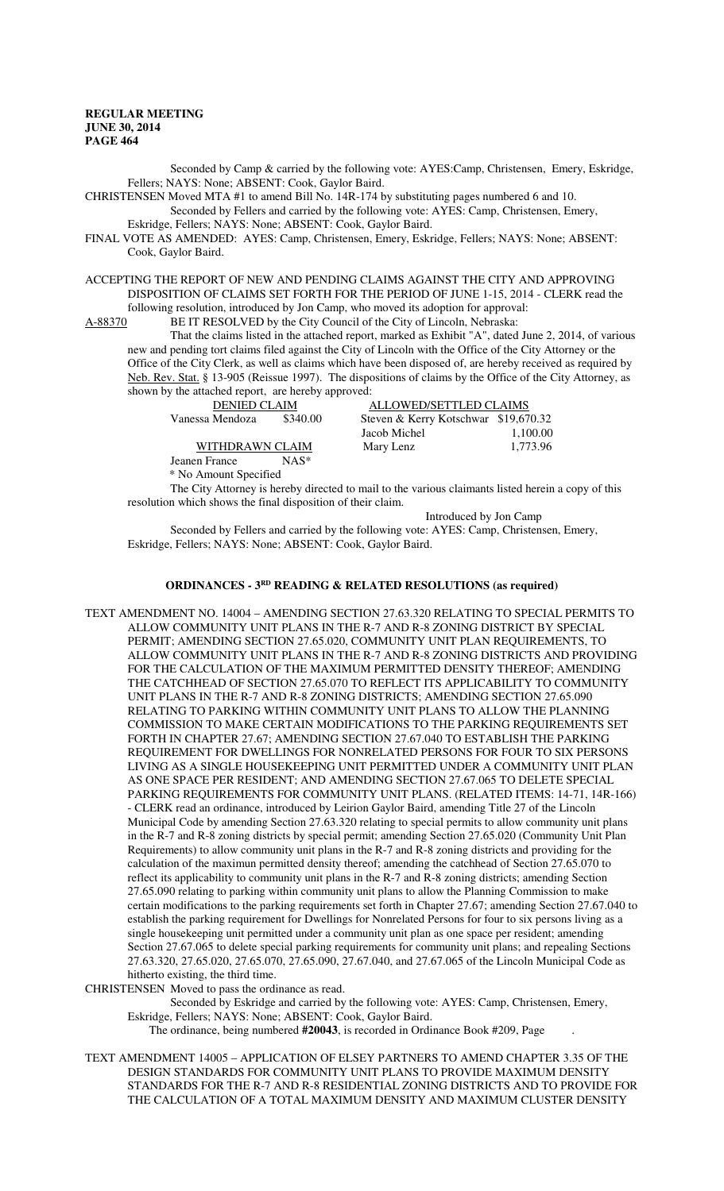Seconded by Camp & carried by the following vote: AYES:Camp, Christensen, Emery, Eskridge, Fellers; NAYS: None; ABSENT: Cook, Gaylor Baird.

CHRISTENSEN Moved MTA #1 to amend Bill No. 14R-174 by substituting pages numbered 6 and 10. Seconded by Fellers and carried by the following vote: AYES: Camp, Christensen, Emery,

Eskridge, Fellers; NAYS: None; ABSENT: Cook, Gaylor Baird. FINAL VOTE AS AMENDED: AYES: Camp, Christensen, Emery, Eskridge, Fellers; NAYS: None; ABSENT: Cook, Gaylor Baird.

ACCEPTING THE REPORT OF NEW AND PENDING CLAIMS AGAINST THE CITY AND APPROVING DISPOSITION OF CLAIMS SET FORTH FOR THE PERIOD OF JUNE 1-15, 2014 - CLERK read the following resolution, introduced by Jon Camp, who moved its adoption for approval:

A-88370 BE IT RESOLVED by the City Council of the City of Lincoln, Nebraska:

That the claims listed in the attached report, marked as Exhibit "A", dated June 2, 2014, of various new and pending tort claims filed against the City of Lincoln with the Office of the City Attorney or the Office of the City Clerk, as well as claims which have been disposed of, are hereby received as required by Neb. Rev. Stat. § 13-905 (Reissue 1997). The dispositions of claims by the Office of the City Attorney, as shown by the attached report, are hereby approved:

| ALLOWED/SETTLED CLAIMS<br><b>DENIED CLAIM</b>                       |          |
|---------------------------------------------------------------------|----------|
| \$340.00<br>Steven & Kerry Kotschwar \$19,670.32<br>Vanessa Mendoza |          |
| Jacob Michel                                                        | 1,100.00 |
| WITHDRAWN CLAIM<br>Mary Lenz                                        | 1.773.96 |

Jeanen France NAS\* \* No Amount Specified

The City Attorney is hereby directed to mail to the various claimants listed herein a copy of this resolution which shows the final disposition of their claim.

Introduced by Jon Camp

Seconded by Fellers and carried by the following vote: AYES: Camp, Christensen, Emery, Eskridge, Fellers; NAYS: None; ABSENT: Cook, Gaylor Baird.

## **ORDINANCES - 3RD READING & RELATED RESOLUTIONS (as required)**

TEXT AMENDMENT NO. 14004 – AMENDING SECTION 27.63.320 RELATING TO SPECIAL PERMITS TO ALLOW COMMUNITY UNIT PLANS IN THE R-7 AND R-8 ZONING DISTRICT BY SPECIAL PERMIT; AMENDING SECTION 27.65.020, COMMUNITY UNIT PLAN REQUIREMENTS, TO ALLOW COMMUNITY UNIT PLANS IN THE R-7 AND R-8 ZONING DISTRICTS AND PROVIDING FOR THE CALCULATION OF THE MAXIMUM PERMITTED DENSITY THEREOF; AMENDING THE CATCHHEAD OF SECTION 27.65.070 TO REFLECT ITS APPLICABILITY TO COMMUNITY UNIT PLANS IN THE R-7 AND R-8 ZONING DISTRICTS; AMENDING SECTION 27.65.090 RELATING TO PARKING WITHIN COMMUNITY UNIT PLANS TO ALLOW THE PLANNING COMMISSION TO MAKE CERTAIN MODIFICATIONS TO THE PARKING REQUIREMENTS SET FORTH IN CHAPTER 27.67; AMENDING SECTION 27.67.040 TO ESTABLISH THE PARKING REQUIREMENT FOR DWELLINGS FOR NONRELATED PERSONS FOR FOUR TO SIX PERSONS LIVING AS A SINGLE HOUSEKEEPING UNIT PERMITTED UNDER A COMMUNITY UNIT PLAN AS ONE SPACE PER RESIDENT; AND AMENDING SECTION 27.67.065 TO DELETE SPECIAL PARKING REQUIREMENTS FOR COMMUNITY UNIT PLANS. (RELATED ITEMS: 14-71, 14R-166) - CLERK read an ordinance, introduced by Leirion Gaylor Baird, amending Title 27 of the Lincoln Municipal Code by amending Section 27.63.320 relating to special permits to allow community unit plans in the R-7 and R-8 zoning districts by special permit; amending Section 27.65.020 (Community Unit Plan Requirements) to allow community unit plans in the R-7 and R-8 zoning districts and providing for the calculation of the maximun permitted density thereof; amending the catchhead of Section 27.65.070 to reflect its applicability to community unit plans in the R-7 and R-8 zoning districts; amending Section 27.65.090 relating to parking within community unit plans to allow the Planning Commission to make certain modifications to the parking requirements set forth in Chapter 27.67; amending Section 27.67.040 to establish the parking requirement for Dwellings for Nonrelated Persons for four to six persons living as a single housekeeping unit permitted under a community unit plan as one space per resident; amending Section 27.67.065 to delete special parking requirements for community unit plans; and repealing Sections 27.63.320, 27.65.020, 27.65.070, 27.65.090, 27.67.040, and 27.67.065 of the Lincoln Municipal Code as hitherto existing, the third time.

CHRISTENSEN Moved to pass the ordinance as read.

Seconded by Eskridge and carried by the following vote: AYES: Camp, Christensen, Emery, Eskridge, Fellers; NAYS: None; ABSENT: Cook, Gaylor Baird.

The ordinance, being numbered **#20043**, is recorded in Ordinance Book #209, Page .

TEXT AMENDMENT 14005 – APPLICATION OF ELSEY PARTNERS TO AMEND CHAPTER 3.35 OF THE DESIGN STANDARDS FOR COMMUNITY UNIT PLANS TO PROVIDE MAXIMUM DENSITY STANDARDS FOR THE R-7 AND R-8 RESIDENTIAL ZONING DISTRICTS AND TO PROVIDE FOR THE CALCULATION OF A TOTAL MAXIMUM DENSITY AND MAXIMUM CLUSTER DENSITY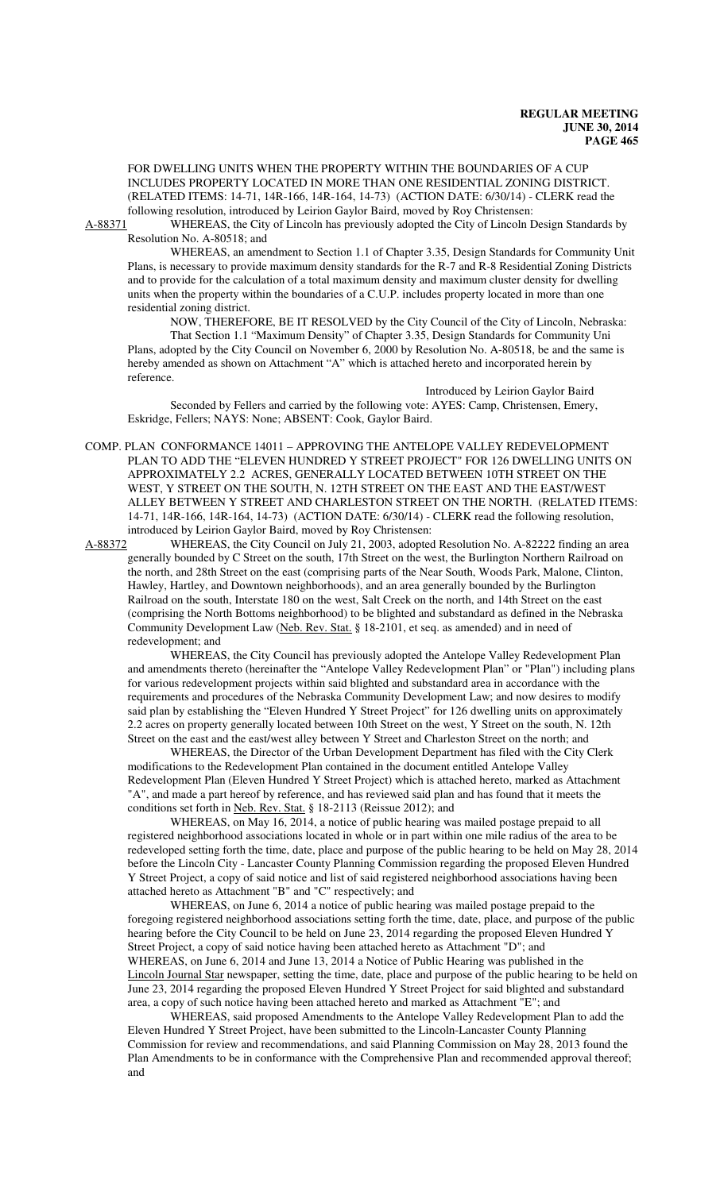FOR DWELLING UNITS WHEN THE PROPERTY WITHIN THE BOUNDARIES OF A CUP INCLUDES PROPERTY LOCATED IN MORE THAN ONE RESIDENTIAL ZONING DISTRICT. (RELATED ITEMS: 14-71, 14R-166, 14R-164, 14-73) (ACTION DATE: 6/30/14) - CLERK read the following resolution, introduced by Leirion Gaylor Baird, moved by Roy Christensen:

A-88371 WHEREAS, the City of Lincoln has previously adopted the City of Lincoln Design Standards by Resolution No. A-80518; and

WHEREAS, an amendment to Section 1.1 of Chapter 3.35, Design Standards for Community Unit Plans, is necessary to provide maximum density standards for the R-7 and R-8 Residential Zoning Districts and to provide for the calculation of a total maximum density and maximum cluster density for dwelling units when the property within the boundaries of a C.U.P. includes property located in more than one residential zoning district.

NOW, THEREFORE, BE IT RESOLVED by the City Council of the City of Lincoln, Nebraska: That Section 1.1 "Maximum Density" of Chapter 3.35, Design Standards for Community Uni Plans, adopted by the City Council on November 6, 2000 by Resolution No. A-80518, be and the same is hereby amended as shown on Attachment "A" which is attached hereto and incorporated herein by reference.

#### Introduced by Leirion Gaylor Baird

Seconded by Fellers and carried by the following vote: AYES: Camp, Christensen, Emery, Eskridge, Fellers; NAYS: None; ABSENT: Cook, Gaylor Baird.

COMP. PLAN CONFORMANCE 14011 – APPROVING THE ANTELOPE VALLEY REDEVELOPMENT PLAN TO ADD THE "ELEVEN HUNDRED Y STREET PROJECT" FOR 126 DWELLING UNITS ON APPROXIMATELY 2.2 ACRES, GENERALLY LOCATED BETWEEN 10TH STREET ON THE WEST, Y STREET ON THE SOUTH, N. 12TH STREET ON THE EAST AND THE EAST/WEST ALLEY BETWEEN Y STREET AND CHARLESTON STREET ON THE NORTH. (RELATED ITEMS: 14-71, 14R-166, 14R-164, 14-73) (ACTION DATE: 6/30/14) - CLERK read the following resolution, introduced by Leirion Gaylor Baird, moved by Roy Christensen:

A-88372 WHEREAS, the City Council on July 21, 2003, adopted Resolution No. A-82222 finding an area generally bounded by C Street on the south, 17th Street on the west, the Burlington Northern Railroad on the north, and 28th Street on the east (comprising parts of the Near South, Woods Park, Malone, Clinton, Hawley, Hartley, and Downtown neighborhoods), and an area generally bounded by the Burlington Railroad on the south, Interstate 180 on the west, Salt Creek on the north, and 14th Street on the east (comprising the North Bottoms neighborhood) to be blighted and substandard as defined in the Nebraska Community Development Law (Neb. Rev. Stat. § 18-2101, et seq. as amended) and in need of redevelopment; and

WHEREAS, the City Council has previously adopted the Antelope Valley Redevelopment Plan and amendments thereto (hereinafter the "Antelope Valley Redevelopment Plan" or "Plan") including plans for various redevelopment projects within said blighted and substandard area in accordance with the requirements and procedures of the Nebraska Community Development Law; and now desires to modify said plan by establishing the "Eleven Hundred Y Street Project" for 126 dwelling units on approximately 2.2 acres on property generally located between 10th Street on the west, Y Street on the south, N. 12th Street on the east and the east/west alley between Y Street and Charleston Street on the north; and

WHEREAS, the Director of the Urban Development Department has filed with the City Clerk modifications to the Redevelopment Plan contained in the document entitled Antelope Valley Redevelopment Plan (Eleven Hundred Y Street Project) which is attached hereto, marked as Attachment "A", and made a part hereof by reference, and has reviewed said plan and has found that it meets the conditions set forth in Neb. Rev. Stat. § 18-2113 (Reissue 2012); and

WHEREAS, on May 16, 2014, a notice of public hearing was mailed postage prepaid to all registered neighborhood associations located in whole or in part within one mile radius of the area to be redeveloped setting forth the time, date, place and purpose of the public hearing to be held on May 28, 2014 before the Lincoln City - Lancaster County Planning Commission regarding the proposed Eleven Hundred Y Street Project, a copy of said notice and list of said registered neighborhood associations having been attached hereto as Attachment "B" and "C" respectively; and

WHEREAS, on June 6, 2014 a notice of public hearing was mailed postage prepaid to the foregoing registered neighborhood associations setting forth the time, date, place, and purpose of the public hearing before the City Council to be held on June 23, 2014 regarding the proposed Eleven Hundred Y Street Project, a copy of said notice having been attached hereto as Attachment "D"; and WHEREAS, on June 6, 2014 and June 13, 2014 a Notice of Public Hearing was published in the Lincoln Journal Star newspaper, setting the time, date, place and purpose of the public hearing to be held on June 23, 2014 regarding the proposed Eleven Hundred Y Street Project for said blighted and substandard area, a copy of such notice having been attached hereto and marked as Attachment "E"; and

WHEREAS, said proposed Amendments to the Antelope Valley Redevelopment Plan to add the Eleven Hundred Y Street Project, have been submitted to the Lincoln-Lancaster County Planning Commission for review and recommendations, and said Planning Commission on May 28, 2013 found the Plan Amendments to be in conformance with the Comprehensive Plan and recommended approval thereof; and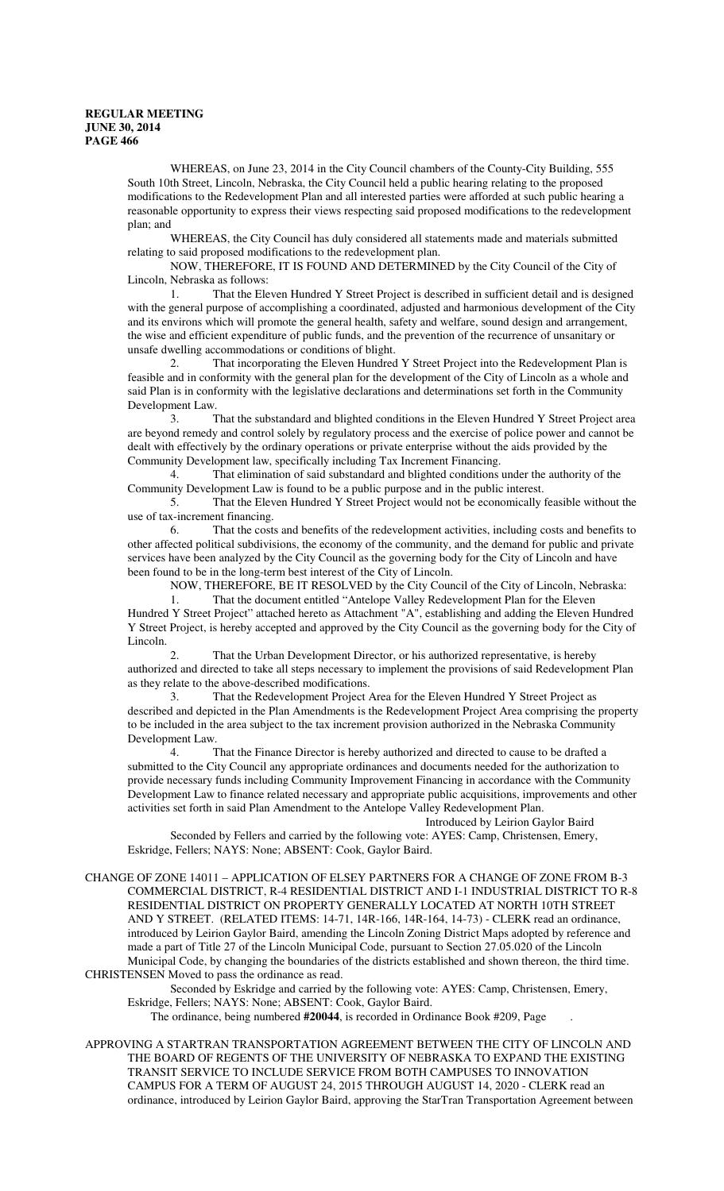WHEREAS, on June 23, 2014 in the City Council chambers of the County-City Building, 555 South 10th Street, Lincoln, Nebraska, the City Council held a public hearing relating to the proposed modifications to the Redevelopment Plan and all interested parties were afforded at such public hearing a reasonable opportunity to express their views respecting said proposed modifications to the redevelopment plan; and

WHEREAS, the City Council has duly considered all statements made and materials submitted relating to said proposed modifications to the redevelopment plan.

NOW, THEREFORE, IT IS FOUND AND DETERMINED by the City Council of the City of Lincoln, Nebraska as follows:

1. That the Eleven Hundred Y Street Project is described in sufficient detail and is designed with the general purpose of accomplishing a coordinated, adjusted and harmonious development of the City and its environs which will promote the general health, safety and welfare, sound design and arrangement, the wise and efficient expenditure of public funds, and the prevention of the recurrence of unsanitary or unsafe dwelling accommodations or conditions of blight.

2. That incorporating the Eleven Hundred Y Street Project into the Redevelopment Plan is feasible and in conformity with the general plan for the development of the City of Lincoln as a whole and said Plan is in conformity with the legislative declarations and determinations set forth in the Community Development Law.

3. That the substandard and blighted conditions in the Eleven Hundred Y Street Project area are beyond remedy and control solely by regulatory process and the exercise of police power and cannot be dealt with effectively by the ordinary operations or private enterprise without the aids provided by the Community Development law, specifically including Tax Increment Financing.

4. That elimination of said substandard and blighted conditions under the authority of the Community Development Law is found to be a public purpose and in the public interest.

5. That the Eleven Hundred Y Street Project would not be economically feasible without the use of tax-increment financing.

6. That the costs and benefits of the redevelopment activities, including costs and benefits to other affected political subdivisions, the economy of the community, and the demand for public and private services have been analyzed by the City Council as the governing body for the City of Lincoln and have been found to be in the long-term best interest of the City of Lincoln.

NOW, THEREFORE, BE IT RESOLVED by the City Council of the City of Lincoln, Nebraska:

That the document entitled "Antelope Valley Redevelopment Plan for the Eleven Hundred Y Street Project" attached hereto as Attachment "A", establishing and adding the Eleven Hundred Y Street Project, is hereby accepted and approved by the City Council as the governing body for the City of Lincoln.

2. That the Urban Development Director, or his authorized representative, is hereby authorized and directed to take all steps necessary to implement the provisions of said Redevelopment Plan as they relate to the above-described modifications.

3. That the Redevelopment Project Area for the Eleven Hundred Y Street Project as described and depicted in the Plan Amendments is the Redevelopment Project Area comprising the property to be included in the area subject to the tax increment provision authorized in the Nebraska Community Development Law.

4. That the Finance Director is hereby authorized and directed to cause to be drafted a submitted to the City Council any appropriate ordinances and documents needed for the authorization to provide necessary funds including Community Improvement Financing in accordance with the Community Development Law to finance related necessary and appropriate public acquisitions, improvements and other activities set forth in said Plan Amendment to the Antelope Valley Redevelopment Plan.

Introduced by Leirion Gaylor Baird

Seconded by Fellers and carried by the following vote: AYES: Camp, Christensen, Emery, Eskridge, Fellers; NAYS: None; ABSENT: Cook, Gaylor Baird.

#### CHANGE OF ZONE 14011 – APPLICATION OF ELSEY PARTNERS FOR A CHANGE OF ZONE FROM B-3 COMMERCIAL DISTRICT, R-4 RESIDENTIAL DISTRICT AND I-1 INDUSTRIAL DISTRICT TO R-8 RESIDENTIAL DISTRICT ON PROPERTY GENERALLY LOCATED AT NORTH 10TH STREET AND Y STREET. (RELATED ITEMS: 14-71, 14R-166, 14R-164, 14-73) - CLERK read an ordinance, introduced by Leirion Gaylor Baird, amending the Lincoln Zoning District Maps adopted by reference and made a part of Title 27 of the Lincoln Municipal Code, pursuant to Section 27.05.020 of the Lincoln Municipal Code, by changing the boundaries of the districts established and shown thereon, the third time. CHRISTENSEN Moved to pass the ordinance as read.

Seconded by Eskridge and carried by the following vote: AYES: Camp, Christensen, Emery, Eskridge, Fellers; NAYS: None; ABSENT: Cook, Gaylor Baird.

The ordinance, being numbered **#20044**, is recorded in Ordinance Book #209, Page .

APPROVING A STARTRAN TRANSPORTATION AGREEMENT BETWEEN THE CITY OF LINCOLN AND THE BOARD OF REGENTS OF THE UNIVERSITY OF NEBRASKA TO EXPAND THE EXISTING TRANSIT SERVICE TO INCLUDE SERVICE FROM BOTH CAMPUSES TO INNOVATION CAMPUS FOR A TERM OF AUGUST 24, 2015 THROUGH AUGUST 14, 2020 - CLERK read an ordinance, introduced by Leirion Gaylor Baird, approving the StarTran Transportation Agreement between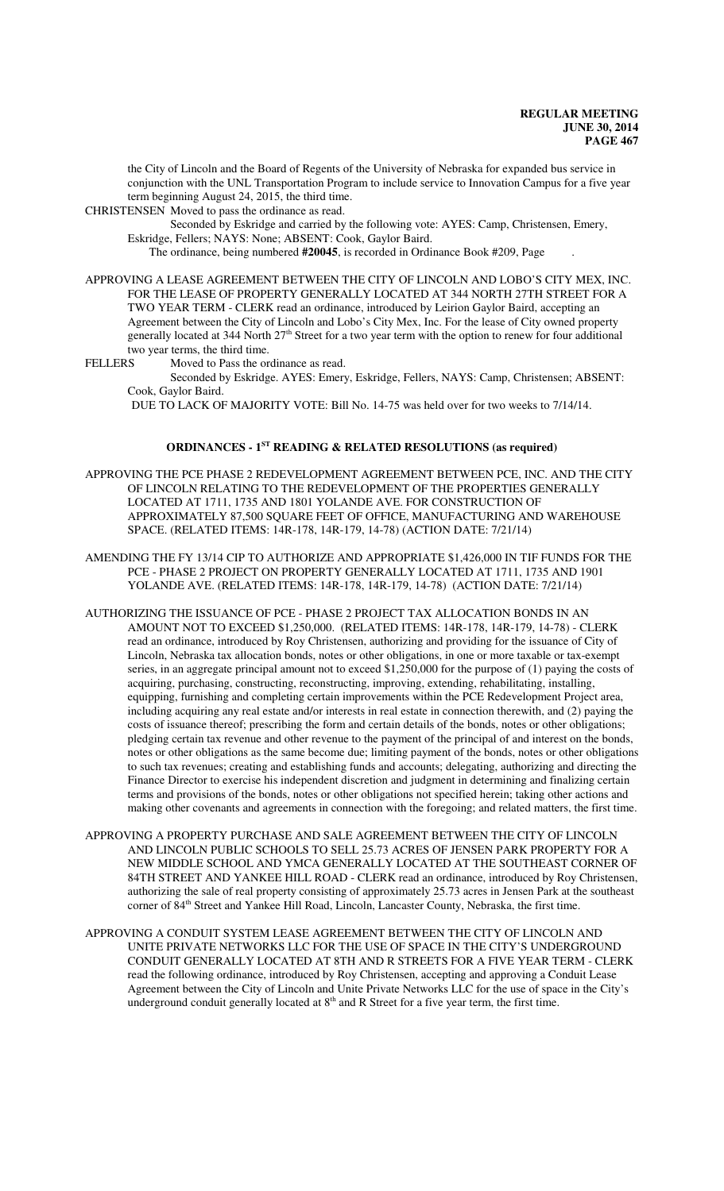the City of Lincoln and the Board of Regents of the University of Nebraska for expanded bus service in conjunction with the UNL Transportation Program to include service to Innovation Campus for a five year term beginning August 24, 2015, the third time.

CHRISTENSEN Moved to pass the ordinance as read.

Seconded by Eskridge and carried by the following vote: AYES: Camp, Christensen, Emery, Eskridge, Fellers; NAYS: None; ABSENT: Cook, Gaylor Baird.

The ordinance, being numbered **#20045**, is recorded in Ordinance Book #209, Page .

APPROVING A LEASE AGREEMENT BETWEEN THE CITY OF LINCOLN AND LOBO'S CITY MEX, INC. FOR THE LEASE OF PROPERTY GENERALLY LOCATED AT 344 NORTH 27TH STREET FOR A TWO YEAR TERM - CLERK read an ordinance, introduced by Leirion Gaylor Baird, accepting an Agreement between the City of Lincoln and Lobo's City Mex, Inc. For the lease of City owned property generally located at 344 North 27<sup>th</sup> Street for a two year term with the option to renew for four additional two year terms, the third time.

FELLERS Moved to Pass the ordinance as read.

Seconded by Eskridge. AYES: Emery, Eskridge, Fellers, NAYS: Camp, Christensen; ABSENT: Cook, Gaylor Baird.

DUE TO LACK OF MAJORITY VOTE: Bill No. 14-75 was held over for two weeks to 7/14/14.

### **ORDINANCES - 1ST READING & RELATED RESOLUTIONS (as required)**

- APPROVING THE PCE PHASE 2 REDEVELOPMENT AGREEMENT BETWEEN PCE, INC. AND THE CITY OF LINCOLN RELATING TO THE REDEVELOPMENT OF THE PROPERTIES GENERALLY LOCATED AT 1711, 1735 AND 1801 YOLANDE AVE. FOR CONSTRUCTION OF APPROXIMATELY 87,500 SQUARE FEET OF OFFICE, MANUFACTURING AND WAREHOUSE SPACE. (RELATED ITEMS: 14R-178, 14R-179, 14-78) (ACTION DATE: 7/21/14)
- AMENDING THE FY 13/14 CIP TO AUTHORIZE AND APPROPRIATE \$1,426,000 IN TIF FUNDS FOR THE PCE - PHASE 2 PROJECT ON PROPERTY GENERALLY LOCATED AT 1711, 1735 AND 1901 YOLANDE AVE. (RELATED ITEMS: 14R-178, 14R-179, 14-78) (ACTION DATE: 7/21/14)
- AUTHORIZING THE ISSUANCE OF PCE PHASE 2 PROJECT TAX ALLOCATION BONDS IN AN AMOUNT NOT TO EXCEED \$1,250,000. (RELATED ITEMS: 14R-178, 14R-179, 14-78) - CLERK read an ordinance, introduced by Roy Christensen, authorizing and providing for the issuance of City of Lincoln, Nebraska tax allocation bonds, notes or other obligations, in one or more taxable or tax-exempt series, in an aggregate principal amount not to exceed \$1,250,000 for the purpose of (1) paying the costs of acquiring, purchasing, constructing, reconstructing, improving, extending, rehabilitating, installing, equipping, furnishing and completing certain improvements within the PCE Redevelopment Project area, including acquiring any real estate and/or interests in real estate in connection therewith, and (2) paying the costs of issuance thereof; prescribing the form and certain details of the bonds, notes or other obligations; pledging certain tax revenue and other revenue to the payment of the principal of and interest on the bonds, notes or other obligations as the same become due; limiting payment of the bonds, notes or other obligations to such tax revenues; creating and establishing funds and accounts; delegating, authorizing and directing the Finance Director to exercise his independent discretion and judgment in determining and finalizing certain terms and provisions of the bonds, notes or other obligations not specified herein; taking other actions and making other covenants and agreements in connection with the foregoing; and related matters, the first time.
- APPROVING A PROPERTY PURCHASE AND SALE AGREEMENT BETWEEN THE CITY OF LINCOLN AND LINCOLN PUBLIC SCHOOLS TO SELL 25.73 ACRES OF JENSEN PARK PROPERTY FOR A NEW MIDDLE SCHOOL AND YMCA GENERALLY LOCATED AT THE SOUTHEAST CORNER OF 84TH STREET AND YANKEE HILL ROAD - CLERK read an ordinance, introduced by Roy Christensen, authorizing the sale of real property consisting of approximately 25.73 acres in Jensen Park at the southeast corner of 84<sup>th</sup> Street and Yankee Hill Road, Lincoln, Lancaster County, Nebraska, the first time.
- APPROVING A CONDUIT SYSTEM LEASE AGREEMENT BETWEEN THE CITY OF LINCOLN AND UNITE PRIVATE NETWORKS LLC FOR THE USE OF SPACE IN THE CITY'S UNDERGROUND CONDUIT GENERALLY LOCATED AT 8TH AND R STREETS FOR A FIVE YEAR TERM - CLERK read the following ordinance, introduced by Roy Christensen, accepting and approving a Conduit Lease Agreement between the City of Lincoln and Unite Private Networks LLC for the use of space in the City's underground conduit generally located at  $8<sup>th</sup>$  and R Street for a five year term, the first time.